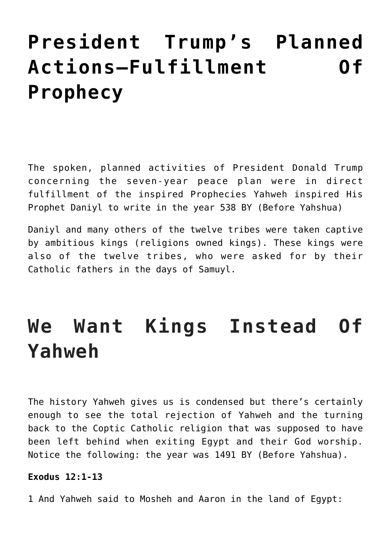# **[President Trump's Planned](https://yahwehsbranch.com/president-trumps-planned-actions-fulfillment-of-prophecy/) [Actions–Fulfillment Of](https://yahwehsbranch.com/president-trumps-planned-actions-fulfillment-of-prophecy/) [Prophecy](https://yahwehsbranch.com/president-trumps-planned-actions-fulfillment-of-prophecy/)**

The spoken, planned activities of President Donald Trump concerning the seven-year peace plan were in direct fulfillment of the inspired Prophecies Yahweh inspired His Prophet Daniyl to write in the year 538 BY (Before Yahshua)

Daniyl and many others of the twelve tribes were taken captive by ambitious kings (religions owned kings). These kings were also of the twelve tribes, who were asked for by their Catholic fathers in the days of Samuyl.

# **We Want Kings Instead Of Yahweh**

The history Yahweh gives us is condensed but there's certainly enough to see the total rejection of Yahweh and the turning back to the Coptic Catholic religion that was supposed to have been left behind when exiting Egypt and their God worship. Notice the following: the year was 1491 BY (Before Yahshua).

# **Exodus 12:1-13**

1 And Yahweh said to Mosheh and Aaron in the land of Egypt: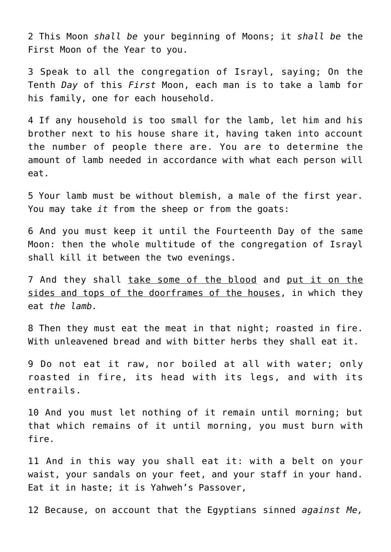2 This Moon *shall be* your beginning of Moons; it *shall be* the First Moon of the Year to you.

3 Speak to all the congregation of Israyl, saying; On the Tenth *Day* of this *First* Moon, each man is to take a lamb for his family, one for each household.

4 If any household is too small for the lamb, let him and his brother next to his house share it, having taken into account the number of people there are. You are to determine the amount of lamb needed in accordance with what each person will eat.

5 Your lamb must be without blemish, a male of the first year. You may take *it* from the sheep or from the goats:

6 And you must keep it until the Fourteenth Day of the same Moon: then the whole multitude of the congregation of Israyl shall kill it between the two evenings.

7 And they shall take some of the blood and put it on the sides and tops of the doorframes of the houses, in which they eat *the lamb.*

8 Then they must eat the meat in that night; roasted in fire. With unleavened bread and with bitter herbs they shall eat it.

9 Do not eat it raw, nor boiled at all with water; only roasted in fire, its head with its legs, and with its entrails.

10 And you must let nothing of it remain until morning; but that which remains of it until morning, you must burn with fire.

11 And in this way you shall eat it: with a belt on your waist, your sandals on your feet, and your staff in your hand. Eat it in haste; it is Yahweh's Passover,

12 Because, on account that the Egyptians sinned *against Me,*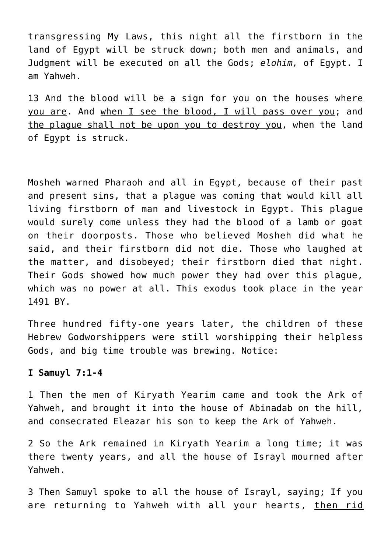transgressing My Laws, this night all the firstborn in the land of Egypt will be struck down; both men and animals, and Judgment will be executed on all the Gods; *elohim,* of Egypt. I am Yahweh.

13 And the blood will be a sign for you on the houses where you are. And when I see the blood, I will pass over you; and the plague shall not be upon you to destroy you, when the land of Egypt is struck.

Mosheh warned Pharaoh and all in Egypt, because of their past and present sins, that a plague was coming that would kill all living firstborn of man and livestock in Egypt. This plague would surely come unless they had the blood of a lamb or goat on their doorposts. Those who believed Mosheh did what he said, and their firstborn did not die. Those who laughed at the matter, and disobeyed; their firstborn died that night. Their Gods showed how much power they had over this plague, which was no power at all. This exodus took place in the year 1491 BY.

Three hundred fifty-one years later, the children of these Hebrew Godworshippers were still worshipping their helpless Gods, and big time trouble was brewing. Notice:

## **I Samuyl 7:1-4**

1 Then the men of Kiryath Yearim came and took the Ark of Yahweh, and brought it into the house of Abinadab on the hill, and consecrated Eleazar his son to keep the Ark of Yahweh.

2 So the Ark remained in Kiryath Yearim a long time; it was there twenty years, and all the house of Israyl mourned after Yahweh.

3 Then Samuyl spoke to all the house of Israyl, saying; If you are returning to Yahweh with all your hearts, then rid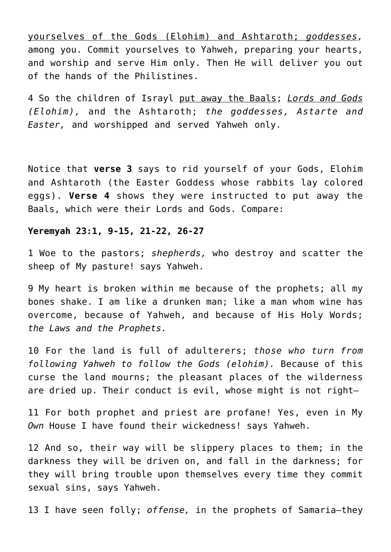yourselves of the Gods (Elohim) and Ashtaroth; *goddesses,* among you. Commit yourselves to Yahweh, preparing your hearts, and worship and serve Him only. Then He will deliver you out of the hands of the Philistines.

4 So the children of Israyl put away the Baals; *Lords and Gods (Elohim),* and the Ashtaroth; *the goddesses, Astarte and Easter,* and worshipped and served Yahweh only.

Notice that **verse 3** says to rid yourself of your Gods, Elohim and Ashtaroth (the Easter Goddess whose rabbits lay colored eggs). **Verse 4** shows they were instructed to put away the Baals, which were their Lords and Gods. Compare:

### **Yeremyah 23:1, 9-15, 21-22, 26-27**

1 Woe to the pastors; *shepherds,* who destroy and scatter the sheep of My pasture! says Yahweh.

9 My heart is broken within me because of the prophets; all my bones shake. I am like a drunken man; like a man whom wine has overcome, because of Yahweh, and because of His Holy Words; *the Laws and the Prophets.*

10 For the land is full of adulterers; *those who turn from following Yahweh to follow the Gods (elohim).* Because of this curse the land mourns; the pleasant places of the wilderness are dried up. Their conduct is evil, whose might is not right-

11 For both prophet and priest are profane! Yes, even in My *Own* House I have found their wickedness! says Yahweh.

12 And so, their way will be slippery places to them; in the darkness they will be driven on, and fall in the darkness; for they will bring trouble upon themselves every time they commit sexual sins, says Yahweh.

13 I have seen folly; *offense,* in the prophets of Samaria—they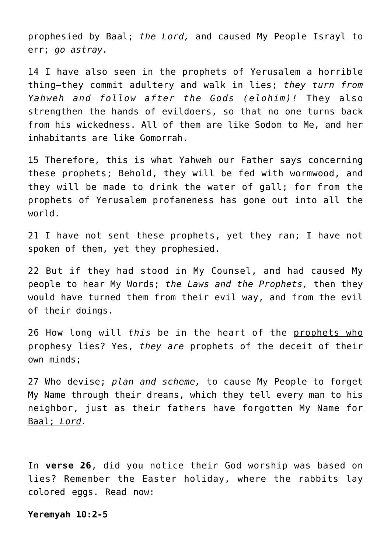prophesied by Baal; *the Lord,* and caused My People Israyl to err; *go astray.*

14 I have also seen in the prophets of Yerusalem a horrible thing—they commit adultery and walk in lies; *they turn from Yahweh and follow after the Gods (elohim)!* They also strengthen the hands of evildoers, so that no one turns back from his wickedness. All of them are like Sodom to Me, and her inhabitants are like Gomorrah.

15 Therefore, this is what Yahweh our Father says concerning these prophets; Behold, they will be fed with wormwood, and they will be made to drink the water of gall; for from the prophets of Yerusalem profaneness has gone out into all the world.

21 I have not sent these prophets, yet they ran; I have not spoken of them, yet they prophesied.

22 But if they had stood in My Counsel, and had caused My people to hear My Words; *the Laws and the Prophets,* then they would have turned them from their evil way, and from the evil of their doings.

26 How long will *this* be in the heart of the prophets who prophesy lies? Yes, *they are* prophets of the deceit of their own minds;

27 Who devise; *plan and scheme,* to cause My People to forget My Name through their dreams, which they tell every man to his neighbor, just as their fathers have forgotten My Name for Baal; *Lord.*

In **verse 26**, did you notice their God worship was based on lies? Remember the Easter holiday, where the rabbits lay colored eggs. Read now:

**Yeremyah 10:2-5**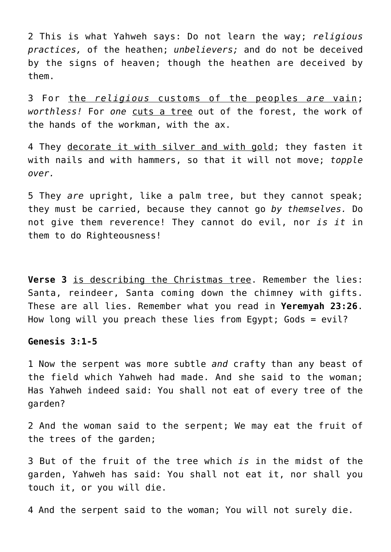2 This is what Yahweh says: Do not learn the way; *religious practices,* of the heathen; *unbelievers;* and do not be deceived by the signs of heaven; though the heathen are deceived by them.

3 For the *religious* customs of the peoples *are* vain; *worthless!* For *one* cuts a tree out of the forest, the work of the hands of the workman, with the ax.

4 They decorate it with silver and with gold; they fasten it with nails and with hammers, so that it will not move; *topple over.*

5 They *are* upright, like a palm tree, but they cannot speak; they must be carried, because they cannot go *by themselves.* Do not give them reverence! They cannot do evil, nor *is it* in them to do Righteousness!

**Verse 3** is describing the Christmas tree. Remember the lies: Santa, reindeer, Santa coming down the chimney with gifts. These are all lies. Remember what you read in **Yeremyah 23:26**. How long will you preach these lies from Egypt; Gods = evil?

### **Genesis 3:1-5**

1 Now the serpent was more subtle *and* crafty than any beast of the field which Yahweh had made. And she said to the woman; Has Yahweh indeed said: You shall not eat of every tree of the garden?

2 And the woman said to the serpent; We may eat the fruit of the trees of the garden;

3 But of the fruit of the tree which *is* in the midst of the garden, Yahweh has said: You shall not eat it, nor shall you touch it, or you will die.

4 And the serpent said to the woman; You will not surely die.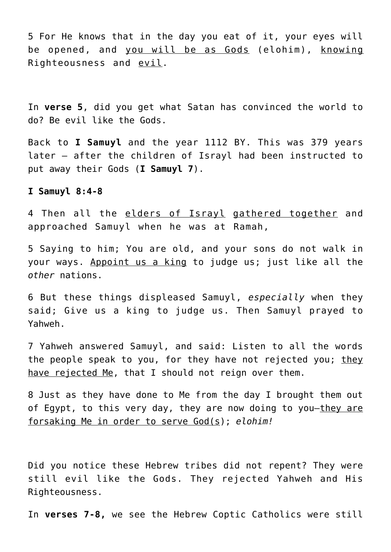5 For He knows that in the day you eat of it, your eyes will be opened, and you will be as Gods (elohim), knowing Righteousness and evil.

In **verse 5**, did you get what Satan has convinced the world to do? Be evil like the Gods.

Back to **I Samuyl** and the year 1112 BY. This was 379 years later – after the children of Israyl had been instructed to put away their Gods (**I Samuyl 7**).

#### **I Samuyl 8:4-8**

4 Then all the elders of Israyl gathered together and approached Samuyl when he was at Ramah,

5 Saying to him; You are old, and your sons do not walk in your ways. Appoint us a king to judge us; just like all the *other* nations.

6 But these things displeased Samuyl, *especially* when they said; Give us a king to judge us. Then Samuyl prayed to Yahweh.

7 Yahweh answered Samuyl, and said: Listen to all the words the people speak to you, for they have not rejected you; they have rejected Me, that I should not reign over them.

8 Just as they have done to Me from the day I brought them out of Egypt, to this very day, they are now doing to you-they are forsaking Me in order to serve God(s); *elohim!*

Did you notice these Hebrew tribes did not repent? They were still evil like the Gods. They rejected Yahweh and His Righteousness.

In **verses 7-8,** we see the Hebrew Coptic Catholics were still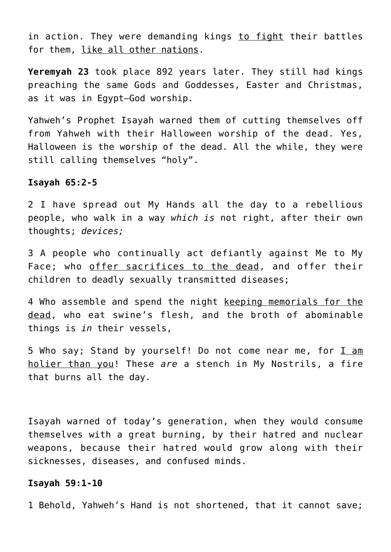in action. They were demanding kings to fight their battles for them, like all other nations.

**Yeremyah 23** took place 892 years later. They still had kings preaching the same Gods and Goddesses, Easter and Christmas, as it was in Egypt—God worship.

Yahweh's Prophet Isayah warned them of cutting themselves off from Yahweh with their Halloween worship of the dead. Yes, Halloween is the worship of the dead. All the while, they were still calling themselves "holy".

#### **Isayah 65:2-5**

2 I have spread out My Hands all the day to a rebellious people, who walk in a way *which is* not right, after their own thoughts; *devices;*

3 A people who continually act defiantly against Me to My Face; who offer sacrifices to the dead, and offer their children to deadly sexually transmitted diseases;

4 Who assemble and spend the night keeping memorials for the dead, who eat swine's flesh, and the broth of abominable things is *in* their vessels,

5 Who say; Stand by yourself! Do not come near me, for I am holier than you! These *are* a stench in My Nostrils, a fire that burns all the day.

Isayah warned of today's generation, when they would consume themselves with a great burning, by their hatred and nuclear weapons, because their hatred would grow along with their sicknesses, diseases, and confused minds.

## **Isayah 59:1-10**

1 Behold, Yahweh's Hand is not shortened, that it cannot save;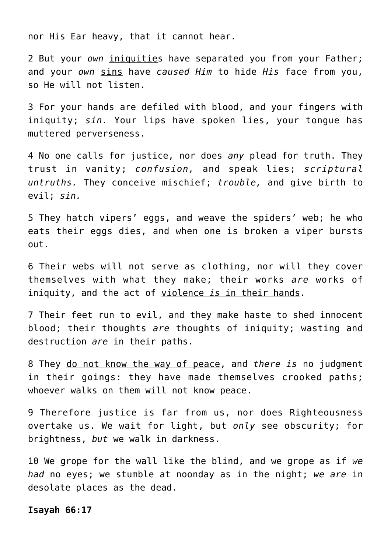nor His Ear heavy, that it cannot hear.

2 But your *own* iniquities have separated you from your Father; and your *own* sins have *caused Him* to hide *His* face from you, so He will not listen.

3 For your hands are defiled with blood, and your fingers with iniquity; *sin.* Your lips have spoken lies, your tongue has muttered perverseness.

4 No one calls for justice, nor does *any* plead for truth. They trust in vanity; *confusion,* and speak lies; *scriptural untruths.* They conceive mischief; *trouble,* and give birth to evil; *sin.*

5 They hatch vipers' eggs, and weave the spiders' web; he who eats their eggs dies, and when one is broken a viper bursts out.

6 Their webs will not serve as clothing, nor will they cover themselves with what they make; their works *are* works of iniquity, and the act of violence *is* in their hands.

7 Their feet run to evil, and they make haste to shed innocent blood; their thoughts *are* thoughts of iniquity; wasting and destruction *are* in their paths.

8 They do not know the way of peace, and *there is* no judgment in their goings: they have made themselves crooked paths; whoever walks on them will not know peace.

9 Therefore justice is far from us, nor does Righteousness overtake us. We wait for light, but *only* see obscurity; for brightness, *but* we walk in darkness.

10 We grope for the wall like the blind, and we grope as if *we had* no eyes; we stumble at noonday as in the night; *we are* in desolate places as the dead.

#### **Isayah 66:17**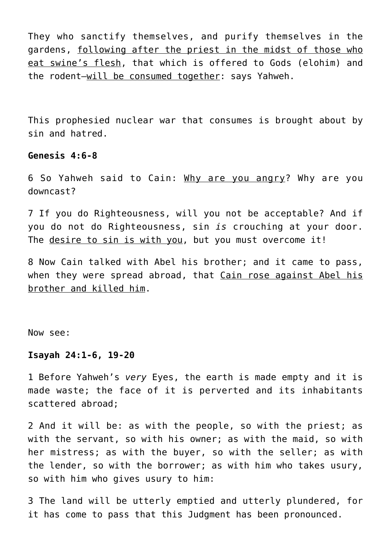They who sanctify themselves, and purify themselves in the gardens, following after the priest in the midst of those who eat swine's flesh, that which is offered to Gods (elohim) and the rodent—will be consumed together: says Yahweh.

This prophesied nuclear war that consumes is brought about by sin and hatred.

## **Genesis 4:6-8**

6 So Yahweh said to Cain: Why are you angry? Why are you downcast?

7 If you do Righteousness, will you not be acceptable? And if you do not do Righteousness, sin *is* crouching at your door. The desire to sin is with you, but you must overcome it!

8 Now Cain talked with Abel his brother; and it came to pass, when they were spread abroad, that Cain rose against Abel his brother and killed him.

Now see:

## **Isayah 24:1-6, 19-20**

1 Before Yahweh's *very* Eyes, the earth is made empty and it is made waste; the face of it is perverted and its inhabitants scattered abroad;

2 And it will be: as with the people, so with the priest; as with the servant, so with his owner; as with the maid, so with her mistress; as with the buyer, so with the seller; as with the lender, so with the borrower; as with him who takes usury, so with him who gives usury to him:

3 The land will be utterly emptied and utterly plundered, for it has come to pass that this Judgment has been pronounced.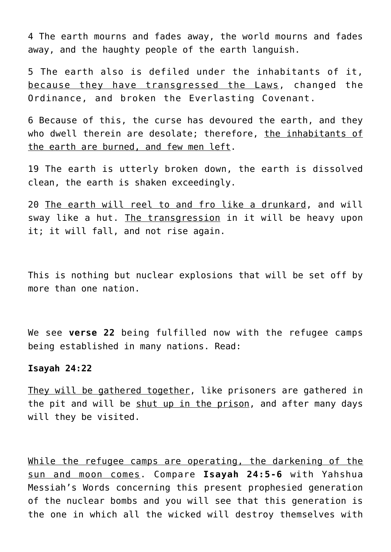4 The earth mourns and fades away, the world mourns and fades away, and the haughty people of the earth languish.

5 The earth also is defiled under the inhabitants of it, because they have transgressed the Laws, changed the Ordinance, and broken the Everlasting Covenant.

6 Because of this, the curse has devoured the earth, and they who dwell therein are desolate; therefore, the inhabitants of the earth are burned, and few men left.

19 The earth is utterly broken down, the earth is dissolved clean, the earth is shaken exceedingly.

20 The earth will reel to and fro like a drunkard, and will sway like a hut. The transgression in it will be heavy upon it; it will fall, and not rise again.

This is nothing but nuclear explosions that will be set off by more than one nation.

We see **verse 22** being fulfilled now with the refugee camps being established in many nations. Read:

#### **Isayah 24:22**

They will be gathered together, like prisoners are gathered in the pit and will be shut up in the prison, and after many days will they be visited.

While the refugee camps are operating, the darkening of the sun and moon comes. Compare **Isayah 24:5-6** with Yahshua Messiah's Words concerning this present prophesied generation of the nuclear bombs and you will see that this generation is the one in which all the wicked will destroy themselves with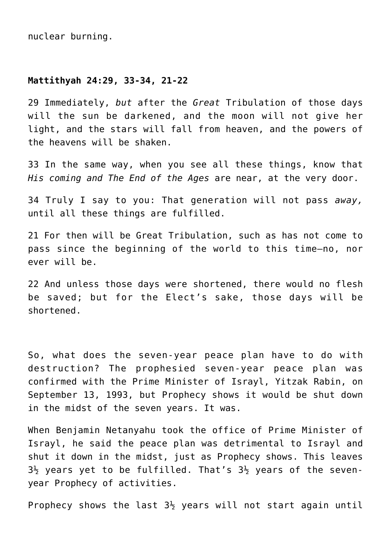nuclear burning.

#### **Mattithyah 24:29, 33-34, 21-22**

29 Immediately, *but* after the *Great* Tribulation of those days will the sun be darkened, and the moon will not give her light, and the stars will fall from heaven, and the powers of the heavens will be shaken.

33 In the same way, when you see all these things, know that *His coming and The End of the Ages* are near, at the very door.

34 Truly I say to you: That generation will not pass *away,* until all these things are fulfilled.

21 For then will be Great Tribulation, such as has not come to pass since the beginning of the world to this time—no, nor ever will be.

22 And unless those days were shortened, there would no flesh be saved; but for the Elect's sake, those days will be shortened.

So, what does the seven-year peace plan have to do with destruction? The prophesied seven-year peace plan was confirmed with the Prime Minister of Israyl, Yitzak Rabin, on September 13, 1993, but Prophecy shows it would be shut down in the midst of the seven years. It was.

When Benjamin Netanyahu took the office of Prime Minister of Israyl, he said the peace plan was detrimental to Israyl and shut it down in the midst, just as Prophecy shows. This leaves  $3\frac{1}{2}$  years yet to be fulfilled. That's  $3\frac{1}{2}$  years of the sevenyear Prophecy of activities.

Prophecy shows the last  $3\frac{1}{2}$  years will not start again until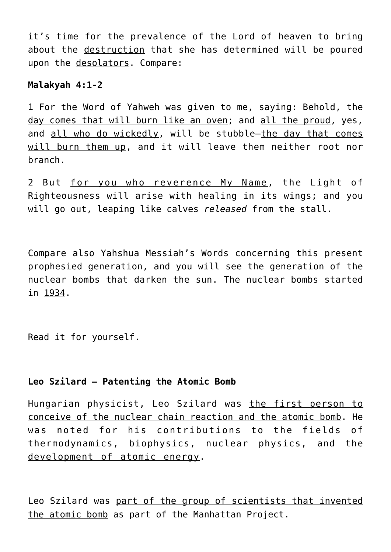it's time for the prevalence of the Lord of heaven to bring about the destruction that she has determined will be poured upon the desolators. Compare:

# **Malakyah 4:1-2**

1 For the Word of Yahweh was given to me, saying: Behold, the day comes that will burn like an oven; and all the proud, yes, and all who do wickedly, will be stubble—the day that comes will burn them up, and it will leave them neither root nor branch.

2 But for you who reverence My Name, the Light of Righteousness will arise with healing in its wings; and you will go out, leaping like calves *released* from the stall.

Compare also Yahshua Messiah's Words concerning this present prophesied generation, and you will see the generation of the nuclear bombs that darken the sun. The nuclear bombs started in 1934.

Read it for yourself.

# **Leo Szilard – Patenting the Atomic Bomb**

Hungarian physicist, Leo Szilard was the first person to conceive of the nuclear chain reaction and the atomic bomb. He was noted for his contributions to the fields of thermodynamics, biophysics, nuclear physics, and the development of atomic energy.

Leo Szilard was part of the group of scientists that invented the atomic bomb as part of the Manhattan Project.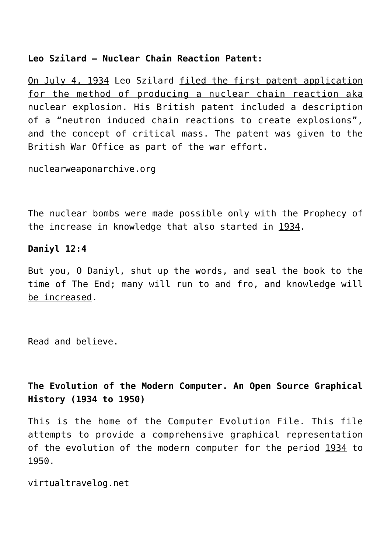# **Leo Szilard – Nuclear Chain Reaction Patent:**

On July 4, 1934 Leo Szilard filed the first patent application for the method of producing a nuclear chain reaction aka nuclear explosion. His British patent included a description of a "neutron induced chain reactions to create explosions", and the concept of critical mass. The patent was given to the British War Office as part of the war effort.

nuclearweaponarchive.org

The nuclear bombs were made possible only with the Prophecy of the increase in knowledge that also started in 1934.

# **Daniyl 12:4**

But you, O Daniyl, shut up the words, and seal the book to the time of The End; many will run to and fro, and knowledge will be increased.

Read and believe.

# **The Evolution of the Modern Computer. An Open Source Graphical History (1934 to 1950)**

This is the home of the Computer Evolution File. This file attempts to provide a comprehensive graphical representation of the evolution of the modern computer for the period 1934 to 1950.

virtualtravelog.net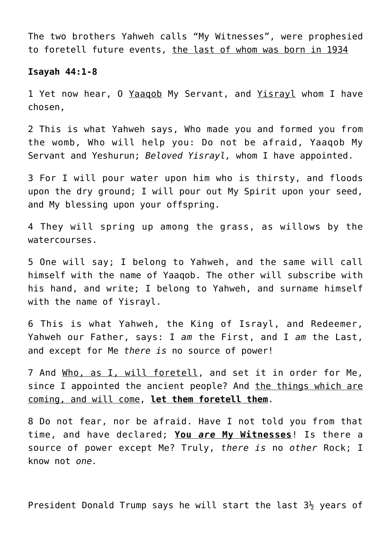The two brothers Yahweh calls "My Witnesses", were prophesied to foretell future events, the last of whom was born in 1934

#### **Isayah 44:1-8**

1 Yet now hear, 0 Yaaqob My Servant, and Yisrayl whom I have chosen,

2 This is what Yahweh says, Who made you and formed you from the womb, Who will help you: Do not be afraid, Yaaqob My Servant and Yeshurun; *Beloved Yisrayl,* whom I have appointed.

3 For I will pour water upon him who is thirsty, and floods upon the dry ground; I will pour out My Spirit upon your seed, and My blessing upon your offspring.

4 They will spring up among the grass, as willows by the watercourses.

5 One will say; I belong to Yahweh, and the same will call himself with the name of Yaaqob. The other will subscribe with his hand, and write; I belong to Yahweh, and surname himself with the name of Yisrayl.

6 This is what Yahweh, the King of Israyl, and Redeemer, Yahweh our Father, says: I *am* the First, and I *am* the Last, and except for Me *there is* no source of power!

7 And Who, as I, will foretell, and set it in order for Me, since I appointed the ancient people? And the things which are coming, and will come, **let them foretell them**.

8 Do not fear, nor be afraid. Have I not told you from that time, and have declared; **You** *are* **My Witnesses**! Is there a source of power except Me? Truly, *there is* no *other* Rock; I know not *one.*

President Donald Trump says he will start the last  $3\frac{1}{2}$  years of